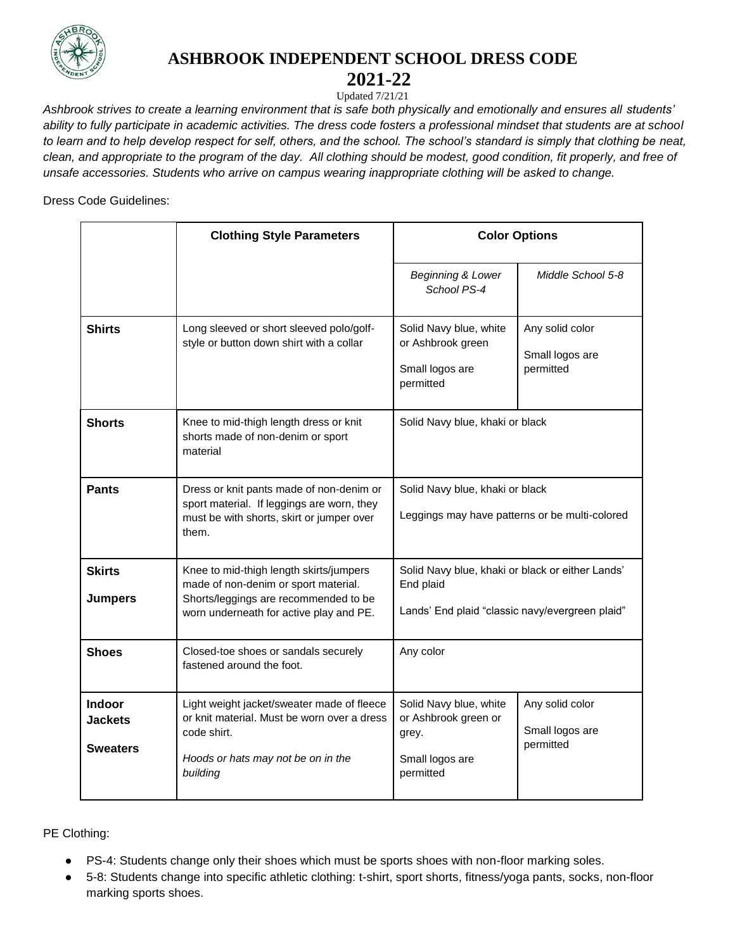

## **ASHBROOK INDEPENDENT SCHOOL DRESS CODE**

## **2021-22**

Updated 7/21/21

*Ashbrook strives to create a learning environment that is safe both physically and emotionally and ensures all students' ability to fully participate in academic activities. The dress code fosters a professional mindset that students are at school to learn and to help develop respect for self, others, and the school. The school's standard is simply that clothing be neat, clean, and appropriate to the program of the day. All clothing should be modest, good condition, fit properly, and free of unsafe accessories. Students who arrive on campus wearing inappropriate clothing will be asked to change.*

Dress Code Guidelines:

|                                                    | <b>Clothing Style Parameters</b>                                                                                                                                    | <b>Color Options</b>                                                                                             |                                                 |
|----------------------------------------------------|---------------------------------------------------------------------------------------------------------------------------------------------------------------------|------------------------------------------------------------------------------------------------------------------|-------------------------------------------------|
|                                                    |                                                                                                                                                                     | Beginning & Lower<br>School PS-4                                                                                 | Middle School 5-8                               |
| <b>Shirts</b>                                      | Long sleeved or short sleeved polo/golf-<br>style or button down shirt with a collar                                                                                | Solid Navy blue, white<br>or Ashbrook green<br>Small logos are<br>permitted                                      | Any solid color<br>Small logos are<br>permitted |
| <b>Shorts</b>                                      | Knee to mid-thigh length dress or knit<br>shorts made of non-denim or sport<br>material                                                                             | Solid Navy blue, khaki or black                                                                                  |                                                 |
| <b>Pants</b>                                       | Dress or knit pants made of non-denim or<br>sport material. If leggings are worn, they<br>must be with shorts, skirt or jumper over<br>them.                        | Solid Navy blue, khaki or black<br>Leggings may have patterns or be multi-colored                                |                                                 |
| <b>Skirts</b><br><b>Jumpers</b>                    | Knee to mid-thigh length skirts/jumpers<br>made of non-denim or sport material.<br>Shorts/leggings are recommended to be<br>worn underneath for active play and PE. | Solid Navy blue, khaki or black or either Lands'<br>End plaid<br>Lands' End plaid "classic navy/evergreen plaid" |                                                 |
| <b>Shoes</b>                                       | Closed-toe shoes or sandals securely<br>fastened around the foot.                                                                                                   | Any color                                                                                                        |                                                 |
| <b>Indoor</b><br><b>Jackets</b><br><b>Sweaters</b> | Light weight jacket/sweater made of fleece<br>or knit material. Must be worn over a dress<br>code shirt.<br>Hoods or hats may not be on in the<br>building          | Solid Navy blue, white<br>or Ashbrook green or<br>grey.<br>Small logos are<br>permitted                          | Any solid color<br>Small logos are<br>permitted |

PE Clothing:

- PS-4: Students change only their shoes which must be sports shoes with non-floor marking soles.
- 5-8: Students change into specific athletic clothing: t-shirt, sport shorts, fitness/yoga pants, socks, non-floor marking sports shoes.